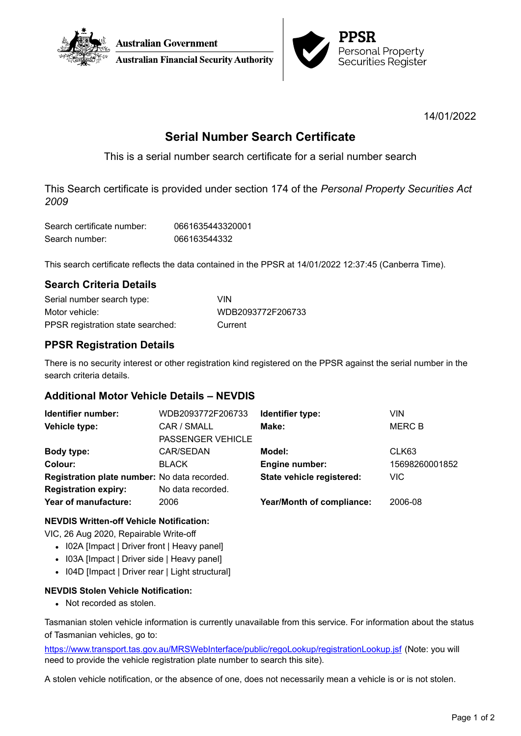



14/01/2022

# **Serial Number Search Certificate**

This is a serial number search certificate for a serial number search

This Search certificate is provided under section 174 of the *Personal Property Securities Act 2009*

| Search certificate number: | 0661635443320001 |
|----------------------------|------------------|
| Search number:             | 066163544332     |

This search certificate reflects the data contained in the PPSR at 14/01/2022 12:37:45 (Canberra Time).

# **Search Criteria Details**

| Serial number search type:        | VIN               |
|-----------------------------------|-------------------|
| Motor vehicle:                    | WDB2093772F206733 |
| PPSR registration state searched: | Current           |

# **PPSR Registration Details**

There is no security interest or other registration kind registered on the PPSR against the serial number in the search criteria details.

# **Additional Motor Vehicle Details – NEVDIS**

| Identifier number:                           | WDB2093772F206733        | Identifier type:                 | VIN            |
|----------------------------------------------|--------------------------|----------------------------------|----------------|
| Vehicle type:                                | CAR / SMALL              | Make:                            | <b>MERC B</b>  |
|                                              | <b>PASSENGER VEHICLE</b> |                                  |                |
| Body type:                                   | CAR/SEDAN                | Model:                           | CLK63          |
| Colour:                                      | <b>BLACK</b>             | Engine number:                   | 15698260001852 |
| Registration plate number: No data recorded. |                          | State vehicle registered:        | <b>VIC</b>     |
| <b>Registration expiry:</b>                  | No data recorded.        |                                  |                |
| Year of manufacture:                         | 2006                     | <b>Year/Month of compliance:</b> | 2006-08        |

### **NEVDIS Written-off Vehicle Notification:**

VIC, 26 Aug 2020, Repairable Write-off

- I02A [Impact | Driver front | Heavy panel]
- I03A [Impact | Driver side | Heavy panel]
- I04D [Impact | Driver rear | Light structural]

### **NEVDIS Stolen Vehicle Notification:**

• Not recorded as stolen.

Tasmanian stolen vehicle information is currently unavailable from this service. For information about the status of Tasmanian vehicles, go to:

<https://www.transport.tas.gov.au/MRSWebInterface/public/regoLookup/registrationLookup.jsf> (Note: you will need to provide the vehicle registration plate number to search this site).

A stolen vehicle notification, or the absence of one, does not necessarily mean a vehicle is or is not stolen.